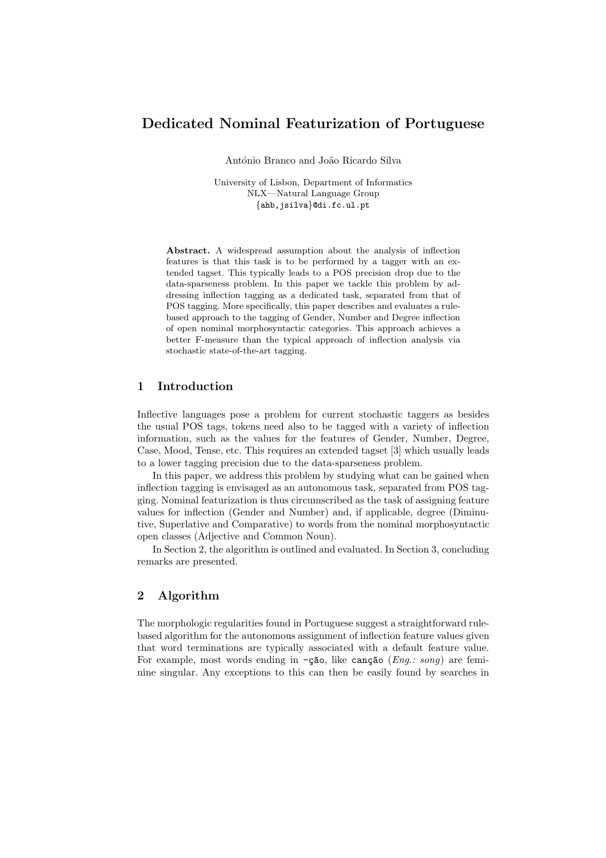# Dedicated Nominal Featurization of Portuguese

António Branco and João Ricardo Silva

University of Lisbon, Department of Informatics NLX—Natural Language Group {ahb,jsilva}@di.fc.ul.pt

Abstract. A widespread assumption about the analysis of inflection features is that this task is to be performed by a tagger with an extended tagset. This typically leads to a POS precision drop due to the data-sparseness problem. In this paper we tackle this problem by addressing inflection tagging as a dedicated task, separated from that of POS tagging. More specifically, this paper describes and evaluates a rulebased approach to the tagging of Gender, Number and Degree inflection of open nominal morphosyntactic categories. This approach achieves a better F-measure than the typical approach of inflection analysis via stochastic state-of-the-art tagging.

## 1 Introduction

Inflective languages pose a problem for current stochastic taggers as besides the usual POS tags, tokens need also to be tagged with a variety of inflection information, such as the values for the features of Gender, Number, Degree, Case, Mood, Tense, etc. This requires an extended tagset [3] which usually leads to a lower tagging precision due to the data-sparseness problem.

In this paper, we address this problem by studying what can be gained when inflection tagging is envisaged as an autonomous task, separated from POS tagging. Nominal featurization is thus circumscribed as the task of assigning feature values for inflection (Gender and Number) and, if applicable, degree (Diminutive, Superlative and Comparative) to words from the nominal morphosyntactic open classes (Adjective and Common Noun).

In Section 2, the algorithm is outlined and evaluated. In Section 3, concluding remarks are presented.

### 2 Algorithm

The morphologic regularities found in Portuguese suggest a straightforward rulebased algorithm for the autonomous assignment of inflection feature values given that word terminations are typically associated with a default feature value. For example, most words ending in  $-\zeta\tilde{\mathbf{a}}$ o, like can $\zeta\tilde{\mathbf{a}}$ o (Eng.: song) are feminine singular. Any exceptions to this can then be easily found by searches in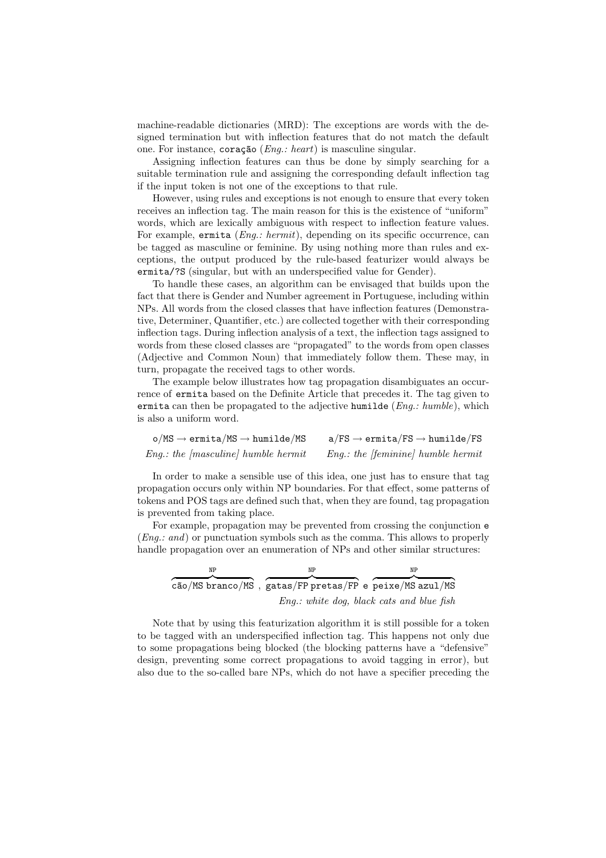machine-readable dictionaries (MRD): The exceptions are words with the designed termination but with inflection features that do not match the default one. For instance, coração (Eng.: heart) is masculine singular.

Assigning inflection features can thus be done by simply searching for a suitable termination rule and assigning the corresponding default inflection tag if the input token is not one of the exceptions to that rule.

However, using rules and exceptions is not enough to ensure that every token receives an inflection tag. The main reason for this is the existence of "uniform" words, which are lexically ambiguous with respect to inflection feature values. For example, ermita (*Eng.: hermit*), depending on its specific occurrence, can be tagged as masculine or feminine. By using nothing more than rules and exceptions, the output produced by the rule-based featurizer would always be ermita/?S (singular, but with an underspecified value for Gender).

To handle these cases, an algorithm can be envisaged that builds upon the fact that there is Gender and Number agreement in Portuguese, including within NPs. All words from the closed classes that have inflection features (Demonstrative, Determiner, Quantifier, etc.) are collected together with their corresponding inflection tags. During inflection analysis of a text, the inflection tags assigned to words from these closed classes are "propagated" to the words from open classes (Adjective and Common Noun) that immediately follow them. These may, in turn, propagate the received tags to other words.

The example below illustrates how tag propagation disambiguates an occurrence of ermita based on the Definite Article that precedes it. The tag given to ermita can then be propagated to the adjective humilde ( $Eng.: \textit{humble}$ ), which is also a uniform word.

| $\text{o}/\text{MS} \rightarrow \text{ermita}/\text{MS} \rightarrow \text{humilde}/\text{MS}$ | $a/FS \rightarrow ermita/FS \rightarrow humilde/FS$ |
|-----------------------------------------------------------------------------------------------|-----------------------------------------------------|
| <i>Eng.: the [masculine] humble hermit</i>                                                    | $Eng.:$ the [feminine] humble hermit                |

In order to make a sensible use of this idea, one just has to ensure that tag propagation occurs only within NP boundaries. For that effect, some patterns of tokens and POS tags are defined such that, when they are found, tag propagation is prevented from taking place.

For example, propagation may be prevented from crossing the conjunction e (Eng.: and) or punctuation symbols such as the comma. This allows to properly handle propagation over an enumeration of NPs and other similar structures:

| NP | ΝP | ΝP                                                      |
|----|----|---------------------------------------------------------|
|    |    |                                                         |
|    |    | cão/MS branco/MS, gatas/FP pretas/FP e peixe/MS azul/MS |
|    |    | Eng.: white dog, black cats and blue fish               |

Note that by using this featurization algorithm it is still possible for a token to be tagged with an underspecified inflection tag. This happens not only due to some propagations being blocked (the blocking patterns have a "defensive" design, preventing some correct propagations to avoid tagging in error), but also due to the so-called bare NPs, which do not have a specifier preceding the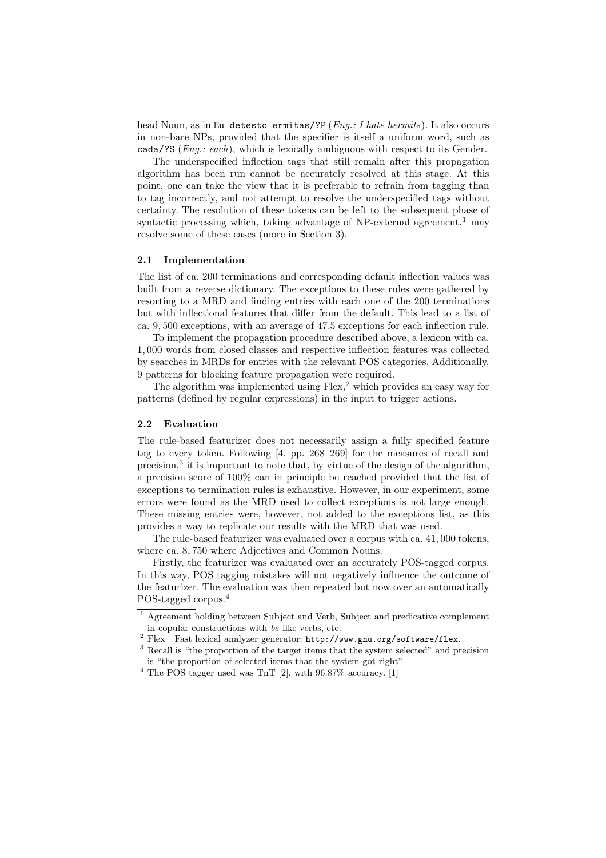head Noun, as in Eu detesto ermitas/?P  $(Eng.: I \text{ \textit{late} \textit{ hermits}}).$  It also occurs in non-bare NPs, provided that the specifier is itself a uniform word, such as cada/?S (Eng.: each), which is lexically ambiguous with respect to its Gender.

The underspecified inflection tags that still remain after this propagation algorithm has been run cannot be accurately resolved at this stage. At this point, one can take the view that it is preferable to refrain from tagging than to tag incorrectly, and not attempt to resolve the underspecified tags without certainty. The resolution of these tokens can be left to the subsequent phase of syntactic processing which, taking advantage of NP-external agreement,<sup>1</sup> may resolve some of these cases (more in Section 3).

#### 2.1 Implementation

The list of ca. 200 terminations and corresponding default inflection values was built from a reverse dictionary. The exceptions to these rules were gathered by resorting to a MRD and finding entries with each one of the 200 terminations but with inflectional features that differ from the default. This lead to a list of ca. 9, 500 exceptions, with an average of 47.5 exceptions for each inflection rule.

To implement the propagation procedure described above, a lexicon with ca. 1, 000 words from closed classes and respective inflection features was collected by searches in MRDs for entries with the relevant POS categories. Additionally, 9 patterns for blocking feature propagation were required.

The algorithm was implemented using  $F$ lex,<sup>2</sup> which provides an easy way for patterns (defined by regular expressions) in the input to trigger actions.

#### 2.2 Evaluation

The rule-based featurizer does not necessarily assign a fully specified feature tag to every token. Following [4, pp. 268–269] for the measures of recall and precision,<sup>3</sup> it is important to note that, by virtue of the design of the algorithm, a precision score of 100% can in principle be reached provided that the list of exceptions to termination rules is exhaustive. However, in our experiment, some errors were found as the MRD used to collect exceptions is not large enough. These missing entries were, however, not added to the exceptions list, as this provides a way to replicate our results with the MRD that was used.

The rule-based featurizer was evaluated over a corpus with ca. 41, 000 tokens, where ca. 8, 750 where Adjectives and Common Nouns.

Firstly, the featurizer was evaluated over an accurately POS-tagged corpus. In this way, POS tagging mistakes will not negatively influence the outcome of the featurizer. The evaluation was then repeated but now over an automatically POS-tagged corpus.<sup>4</sup>

<sup>1</sup> Agreement holding between Subject and Verb, Subject and predicative complement in copular constructions with be-like verbs, etc.

<sup>2</sup> Flex—Fast lexical analyzer generator: http://www.gnu.org/software/flex.

<sup>&</sup>lt;sup>3</sup> Recall is "the proportion of the target items that the system selected" and precision is "the proportion of selected items that the system got right"

 $^4$  The POS tagger used was TnT [2], with  $96.87\%$  accuracy. [1]